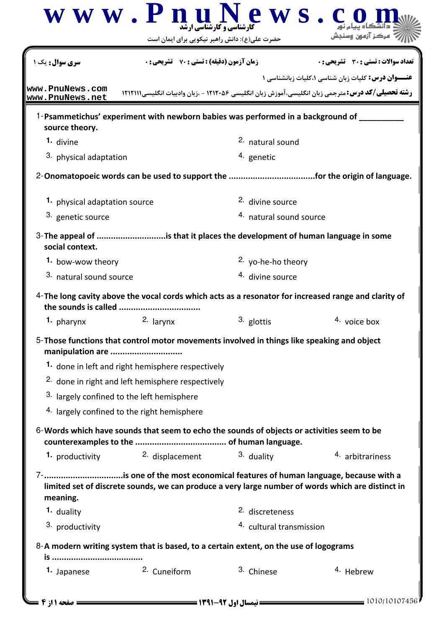|                                                                                       | حضرت علی(ع): دانش راهبر نیکویی برای ایمان است                                              |                                     |                                                                                                                                                                                 |
|---------------------------------------------------------------------------------------|--------------------------------------------------------------------------------------------|-------------------------------------|---------------------------------------------------------------------------------------------------------------------------------------------------------------------------------|
| <b>سری سوال :</b> یک ۱                                                                | <b>زمان آزمون (دقیقه) : تستی : 70 گشریحی: 0</b>                                            |                                     | <b>تعداد سوالات : تستی : 30 ٪ تشریحی : 0</b>                                                                                                                                    |
| www.PnuNews.com                                                                       |                                                                                            |                                     | <b>عنـــوان درس:</b> کلیات زبان شناسی ۱،کلیات زبانشناسی ۱                                                                                                                       |
| www.PnuNews.net                                                                       |                                                                                            |                                     | <b>رشته تحصیلی/کد درس:</b> مترجمی زبان انگلیسی،آموزش زبان انگلیسی ۱۲۱۲۰۵۶ - ،زبان وادبیات انگلیسیI۲۱۲۱۱۱                                                                        |
| source theory.                                                                        | 1-Psammetichus' experiment with newborn babies was performed in a background of            |                                     |                                                                                                                                                                                 |
| 1. divine                                                                             |                                                                                            | 2. natural sound                    |                                                                                                                                                                                 |
| 3. physical adaptation                                                                |                                                                                            | 4. genetic                          |                                                                                                                                                                                 |
|                                                                                       |                                                                                            |                                     |                                                                                                                                                                                 |
| 1. physical adaptation source                                                         |                                                                                            | 2. divine source                    |                                                                                                                                                                                 |
| 3. genetic source                                                                     |                                                                                            | <sup>4.</sup> natural sound source  |                                                                                                                                                                                 |
| social context.                                                                       | 3- The appeal of is that it places the development of human language in some               |                                     |                                                                                                                                                                                 |
| 1. bow-wow theory                                                                     |                                                                                            | 2. yo-he-ho theory                  |                                                                                                                                                                                 |
| 3. natural sound source                                                               |                                                                                            | 4. divine source                    |                                                                                                                                                                                 |
| the sounds is called                                                                  |                                                                                            |                                     | 4-The long cavity above the vocal cords which acts as a resonator for increased range and clarity of                                                                            |
| 1. pharynx                                                                            | 2. larynx                                                                                  | 3. glottis                          | 4. voice box                                                                                                                                                                    |
| manipulation are                                                                      | 5-Those functions that control motor movements involved in things like speaking and object |                                     |                                                                                                                                                                                 |
|                                                                                       | 1. done in left and right hemisphere respectively                                          |                                     |                                                                                                                                                                                 |
|                                                                                       | 2. done in right and left hemisphere respectively                                          |                                     |                                                                                                                                                                                 |
|                                                                                       | <sup>3.</sup> largely confined to the left hemisphere                                      |                                     |                                                                                                                                                                                 |
|                                                                                       | 4. largely confined to the right hemisphere                                                |                                     |                                                                                                                                                                                 |
|                                                                                       | 6-Words which have sounds that seem to echo the sounds of objects or activities seem to be |                                     |                                                                                                                                                                                 |
| 1. productivity                                                                       | 2. displacement                                                                            | 3. duality                          | 4. arbitrariness                                                                                                                                                                |
| meaning.                                                                              |                                                                                            |                                     | 7-is one of the most economical features of human language, because with a<br>limited set of discrete sounds, we can produce a very large number of words which are distinct in |
| 1. duality                                                                            |                                                                                            | 2. discreteness                     |                                                                                                                                                                                 |
| 3. productivity                                                                       |                                                                                            | <sup>4.</sup> cultural transmission |                                                                                                                                                                                 |
|                                                                                       |                                                                                            |                                     |                                                                                                                                                                                 |
| 8-A modern writing system that is based, to a certain extent, on the use of logograms |                                                                                            |                                     |                                                                                                                                                                                 |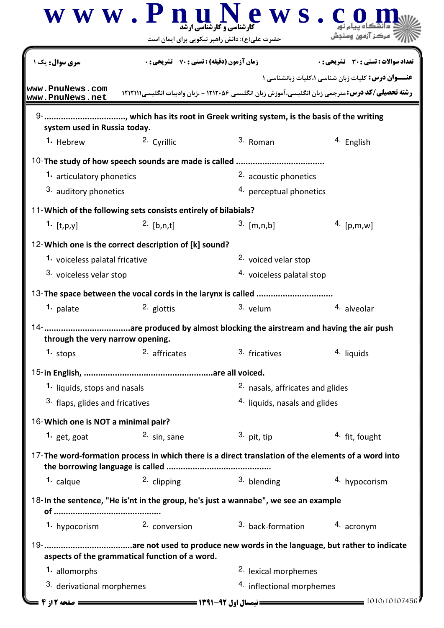|                                                                                         | www.Pnul<br>حضرت علی(ع): دانش راهبر نیکویی برای ایمان است      | ews.<br><b>.</b><br>کارشناسی و کارشناسی ا شد                                                             |                                                   |
|-----------------------------------------------------------------------------------------|----------------------------------------------------------------|----------------------------------------------------------------------------------------------------------|---------------------------------------------------|
| <b>سری سوال :</b> یک ۱                                                                  | <b>زمان آزمون (دقیقه) : تستی : 70 ٪ تشریحی: 0</b>              |                                                                                                          | تعداد سوالات : تستي : 30 - تشريحي : 0             |
| www.PnuNews.com<br>www.PnuNews.net                                                      |                                                                | <b>رشته تحصیلی/کد درس:</b> مترجمی زبان انگلیسی،آموزش زبان انگلیسی ۱۲۱۲۰۵۶ - ،زبان وادبیات انگلیسیI۲۱۲۱۱۱ | عنــوان درس: کلیات زبان شناسی ۱،کلیات زبانشناسی ۱ |
|                                                                                         |                                                                |                                                                                                          |                                                   |
| system used in Russia today.                                                            |                                                                |                                                                                                          |                                                   |
| <sup>1.</sup> Hebrew                                                                    | 2. Cyrillic                                                    | 3. Roman                                                                                                 | 4. English                                        |
|                                                                                         | 10-The study of how speech sounds are made is called           |                                                                                                          |                                                   |
| 1. articulatory phonetics                                                               |                                                                | 2. acoustic phonetics                                                                                    |                                                   |
| 3. auditory phonetics                                                                   |                                                                | 4. perceptual phonetics                                                                                  |                                                   |
|                                                                                         | 11-Which of the following sets consists entirely of bilabials? |                                                                                                          |                                                   |
| $1.$ [t,p,y]                                                                            | $2.$ [b,n,t]                                                   | $3.$ [m,n,b]                                                                                             | 4. $[p,m,w]$                                      |
|                                                                                         |                                                                |                                                                                                          |                                                   |
| 12-Which one is the correct description of [k] sound?<br>1. voiceless palatal fricative |                                                                | 2. voiced velar stop                                                                                     |                                                   |
| 3. voiceless velar stop                                                                 |                                                                | 4. voiceless palatal stop                                                                                |                                                   |
|                                                                                         |                                                                |                                                                                                          |                                                   |
| 1. palate                                                                               | 2. glottis                                                     | 3. velum                                                                                                 | 4. alveolar                                       |
|                                                                                         |                                                                |                                                                                                          |                                                   |
| through the very narrow opening.                                                        |                                                                |                                                                                                          |                                                   |
| $1.$ stops                                                                              | 2. affricates                                                  | 3. fricatives                                                                                            | 4. liquids                                        |
|                                                                                         |                                                                |                                                                                                          |                                                   |
| 1. liquids, stops and nasals                                                            |                                                                | 2. nasals, affricates and glides                                                                         |                                                   |
| 3. flaps, glides and fricatives                                                         |                                                                | <sup>4.</sup> liquids, nasals and glides                                                                 |                                                   |
| 16-Which one is NOT a minimal pair?                                                     |                                                                |                                                                                                          |                                                   |
| 1. get, goat                                                                            | <sup>2.</sup> sin, sane                                        | $3.$ pit, tip                                                                                            | <sup>4</sup> fit, fought                          |
|                                                                                         |                                                                |                                                                                                          |                                                   |
|                                                                                         |                                                                | 17-The word-formation process in which there is a direct translation of the elements of a word into      |                                                   |
| 1. calque                                                                               | 2. clipping                                                    | 3. blending                                                                                              | 4. hypocorism                                     |
|                                                                                         |                                                                | 18-In the sentence, "He is'nt in the group, he's just a wannabe", we see an example                      |                                                   |
|                                                                                         |                                                                |                                                                                                          |                                                   |
| 1. hypocorism                                                                           | 2. conversion                                                  | 3. back-formation                                                                                        | 4. acronym                                        |
|                                                                                         |                                                                |                                                                                                          |                                                   |
|                                                                                         | aspects of the grammatical function of a word.                 |                                                                                                          |                                                   |
| 1. allomorphs                                                                           |                                                                | 2. lexical morphemes                                                                                     |                                                   |
| <sup>3.</sup> derivational morphemes                                                    |                                                                | 4. inflectional morphemes                                                                                |                                                   |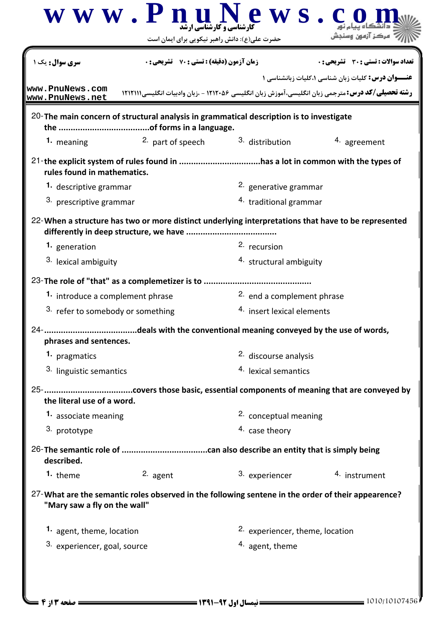|                                    | $\bf W \;\bf W \;\bf W$ . $\bf P \;\bf n$ ارشناسی و کار شناسی ارشد<br>حضرت علی(ع): دانش راهبر نیکویی برای ایمان است | ews.                            |                                                                                                                                                              |  |
|------------------------------------|---------------------------------------------------------------------------------------------------------------------|---------------------------------|--------------------------------------------------------------------------------------------------------------------------------------------------------------|--|
| <mark>سری سوال :</mark> یک ۱       | <b>زمان آزمون (دقیقه) : تستی : 70 ٪ تشریحی : 0</b>                                                                  |                                 | تعداد سوالات : تستي : 30 ٪ تشريحي : 0                                                                                                                        |  |
| www.PnuNews.com<br>www.PnuNews.net |                                                                                                                     |                                 | عنــوان درس: کلیات زبان شناسی ۱،کلیات زبانشناسی ۱<br><b>رشته تحصیلی/کد درس:</b> مترجمی زبان انگلیسی،آموزش زبان انگلیسی ۱۲۱۲۰۵۶ - ،زبان وادبیات انگلیسیI۲۱۱۱۱ |  |
|                                    | 20-The main concern of structural analysis in grammatical description is to investigate                             |                                 |                                                                                                                                                              |  |
| 1. meaning                         | <sup>2.</sup> part of speech                                                                                        | 3. distribution                 | 4. agreement                                                                                                                                                 |  |
| rules found in mathematics.        |                                                                                                                     |                                 |                                                                                                                                                              |  |
| 1. descriptive grammar             |                                                                                                                     | 2. generative grammar           |                                                                                                                                                              |  |
| 3. prescriptive grammar            |                                                                                                                     | 4. traditional grammar          |                                                                                                                                                              |  |
|                                    | 22-When a structure has two or more distinct underlying interpretations that have to be represented                 |                                 |                                                                                                                                                              |  |
| 1. generation                      |                                                                                                                     | 2. recursion                    |                                                                                                                                                              |  |
| 3. lexical ambiguity               |                                                                                                                     | 4. structural ambiguity         |                                                                                                                                                              |  |
|                                    | 23-The role of "that" as a complemetizer is to                                                                      |                                 |                                                                                                                                                              |  |
|                                    | 2. end a complement phrase<br>1. introduce a complement phrase                                                      |                                 |                                                                                                                                                              |  |
| 3. refer to somebody or something  |                                                                                                                     | 4. insert lexical elements      |                                                                                                                                                              |  |
| phrases and sentences.             |                                                                                                                     |                                 |                                                                                                                                                              |  |
| 1. pragmatics                      |                                                                                                                     | 2. discourse analysis           |                                                                                                                                                              |  |
| 3. linguistic semantics            |                                                                                                                     | <sup>4.</sup> lexical semantics |                                                                                                                                                              |  |
| the literal use of a word.         |                                                                                                                     |                                 |                                                                                                                                                              |  |
| 1. associate meaning               |                                                                                                                     | 2. conceptual meaning           |                                                                                                                                                              |  |
| 3. prototype                       |                                                                                                                     | 4. case theory                  |                                                                                                                                                              |  |
| described.                         |                                                                                                                     |                                 |                                                                                                                                                              |  |
| 1. theme                           | 2. agent                                                                                                            | 3. experiencer                  | 4. instrument                                                                                                                                                |  |
| "Mary saw a fly on the wall"       | 27-What are the semantic roles observed in the following sentene in the order of their appearence?                  |                                 |                                                                                                                                                              |  |
| 1. agent, theme, location          |                                                                                                                     | 2. experiencer, theme, location |                                                                                                                                                              |  |
| 3. experiencer, goal, source       |                                                                                                                     | 4. agent, theme                 |                                                                                                                                                              |  |
|                                    |                                                                                                                     |                                 |                                                                                                                                                              |  |